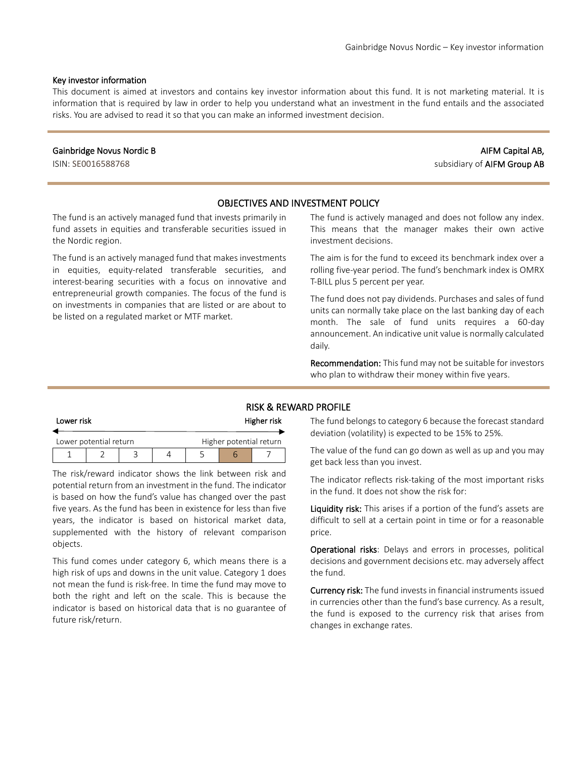#### Key investor information

This document is aimed at investors and contains key investor information about this fund. It is not marketing material. It is information that is required by law in order to help you understand what an investment in the fund entails and the associated risks. You are advised to read it so that you can make an informed investment decision.

#### Gainbridge Novus Nordic B

ISIN: SE0016588768

# AIFM Capital AB, subsidiary of AIFM Group AB

### OBJECTIVES AND INVESTMENT POLICY

The fund is an actively managed fund that invests primarily in fund assets in equities and transferable securities issued in the Nordic region.

The fund is an actively managed fund that makes investments in equities, equity-related transferable securities, and interest-bearing securities with a focus on innovative and entrepreneurial growth companies. The focus of the fund is on investments in companies that are listed or are about to be listed on a regulated market or MTF market.

The fund is actively managed and does not follow any index. This means that the manager makes their own active investment decisions.

The aim is for the fund to exceed its benchmark index over a rolling five-year period. The fund's benchmark index is OMRX T-BILL plus 5 percent per year.

The fund does not pay dividends. Purchases and sales of fund units can normally take place on the last banking day of each month. The sale of fund units requires a 60-day announcement. An indicative unit value is normally calculated daily.

Recommendation: This fund may not be suitable for investors who plan to withdraw their money within five years.

#### RISK & REWARD PROFILE

| Lower risk |                        |  | Higher risk |  |                         |  |
|------------|------------------------|--|-------------|--|-------------------------|--|
|            | Lower potential return |  |             |  | Higher potential return |  |
|            |                        |  |             |  |                         |  |

The risk/reward indicator shows the link between risk and potential return from an investment in the fund. The indicator is based on how the fund's value has changed over the past five years. As the fund has been in existence for less than five years, the indicator is based on historical market data, supplemented with the history of relevant comparison objects.

This fund comes under category 6, which means there is a high risk of ups and downs in the unit value. Category 1 does not mean the fund is risk-free. In time the fund may move to both the right and left on the scale. This is because the indicator is based on historical data that is no guarantee of future risk/return.

The fund belongs to category 6 because the forecast standard deviation (volatility) is expected to be 15% to 25%.

The value of the fund can go down as well as up and you may get back less than you invest.

The indicator reflects risk-taking of the most important risks in the fund. It does not show the risk for:

Liquidity risk: This arises if a portion of the fund's assets are difficult to sell at a certain point in time or for a reasonable price.

Operational risks: Delays and errors in processes, political decisions and government decisions etc. may adversely affect the fund.

Currency risk: The fund invests in financial instruments issued in currencies other than the fund's base currency. As a result, the fund is exposed to the currency risk that arises from changes in exchange rates.